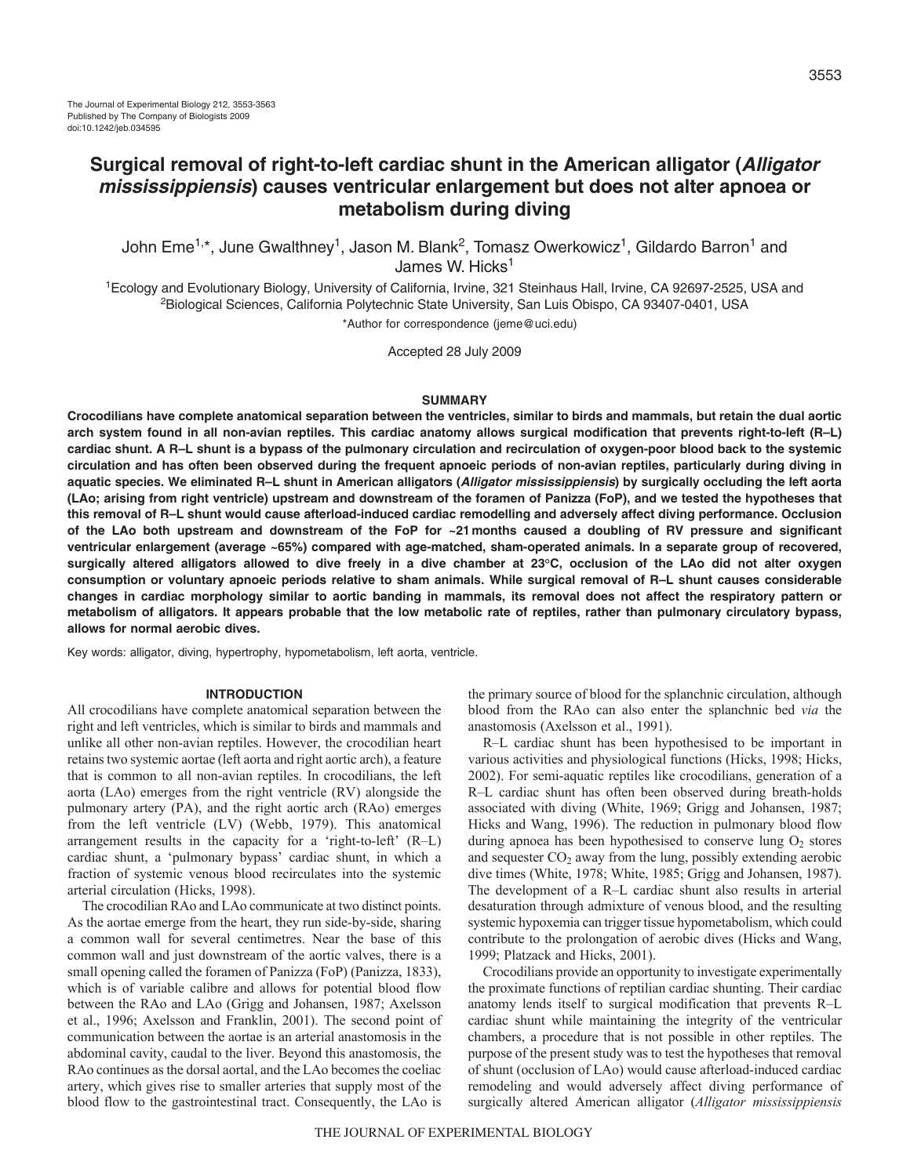John Eme<sup>1,\*</sup>, June Gwalthney<sup>1</sup>, Jason M. Blank<sup>2</sup>, Tomasz Owerkowicz<sup>1</sup>, Gildardo Barron<sup>1</sup> and James W. Hicks<sup>1</sup>

1Ecology and Evolutionary Biology, University of California, Irvine, 321 Steinhaus Hall, Irvine, CA 92697-2525, USA and <sup>2</sup>Biological Sciences, California Polytechnic State University, San Luis Obispo, CA 93407-0401, USA

\*Author for correspondence (jeme@uci.edu)

Accepted 28 July 2009

#### **SUMMARY**

**Crocodilians have complete anatomical separation between the ventricles, similar to birds and mammals, but retain the dual aortic arch system found in all non-avian reptiles. This cardiac anatomy allows surgical modification that prevents right-to-left (R–L) cardiac shunt. A R–L shunt is a bypass of the pulmonary circulation and recirculation of oxygen-poor blood back to the systemic circulation and has often been observed during the frequent apnoeic periods of non-avian reptiles, particularly during diving in aquatic species. We eliminated R–L shunt in American alligators (Alligator mississippiensis) by surgically occluding the left aorta (LAo; arising from right ventricle) upstream and downstream of the foramen of Panizza (FoP), and we tested the hypotheses that this removal of R–L shunt would cause afterload-induced cardiac remodelling and adversely affect diving performance. Occlusion of the LAo both upstream and downstream of the FoP for ~21months caused a doubling of RV pressure and significant ventricular enlargement (average ~65%) compared with age-matched, sham-operated animals. In a separate group of recovered, surgically altered alligators allowed to dive freely in a dive chamber at 23°C, occlusion of the LAo did not alter oxygen consumption or voluntary apnoeic periods relative to sham animals. While surgical removal of R–L shunt causes considerable changes in cardiac morphology similar to aortic banding in mammals, its removal does not affect the respiratory pattern or metabolism of alligators. It appears probable that the low metabolic rate of reptiles, rather than pulmonary circulatory bypass, allows for normal aerobic dives.**

Key words: alligator, diving, hypertrophy, hypometabolism, left aorta, ventricle.

#### **INTRODUCTION**

All crocodilians have complete anatomical separation between the right and left ventricles, which is similar to birds and mammals and unlike all other non-avian reptiles. However, the crocodilian heart retains two systemic aortae (left aorta and right aortic arch), a feature that is common to all non-avian reptiles. In crocodilians, the left aorta (LAo) emerges from the right ventricle (RV) alongside the pulmonary artery (PA), and the right aortic arch (RAo) emerges from the left ventricle (LV) (Webb, 1979). This anatomical arrangement results in the capacity for a 'right-to-left' (R–L) cardiac shunt, a 'pulmonary bypass' cardiac shunt, in which a fraction of systemic venous blood recirculates into the systemic arterial circulation (Hicks, 1998).

The crocodilian RAo and LAo communicate at two distinct points. As the aortae emerge from the heart, they run side-by-side, sharing a common wall for several centimetres. Near the base of this common wall and just downstream of the aortic valves, there is a small opening called the foramen of Panizza (FoP) (Panizza, 1833), which is of variable calibre and allows for potential blood flow between the RAo and LAo (Grigg and Johansen, 1987; Axelsson et al., 1996; Axelsson and Franklin, 2001). The second point of communication between the aortae is an arterial anastomosis in the abdominal cavity, caudal to the liver. Beyond this anastomosis, the RAo continues as the dorsal aortal, and the LAo becomes the coeliac artery, which gives rise to smaller arteries that supply most of the blood flow to the gastrointestinal tract. Consequently, the LAo is

the primary source of blood for the splanchnic circulation, although blood from the RAo can also enter the splanchnic bed *via* the anastomosis (Axelsson et al., 1991).

R–L cardiac shunt has been hypothesised to be important in various activities and physiological functions (Hicks, 1998; Hicks, 2002). For semi-aquatic reptiles like crocodilians, generation of a R–L cardiac shunt has often been observed during breath-holds associated with diving (White, 1969; Grigg and Johansen, 1987; Hicks and Wang, 1996). The reduction in pulmonary blood flow during apnoea has been hypothesised to conserve lung  $O<sub>2</sub>$  stores and sequester  $CO<sub>2</sub>$  away from the lung, possibly extending aerobic dive times (White, 1978; White, 1985; Grigg and Johansen, 1987). The development of a R–L cardiac shunt also results in arterial desaturation through admixture of venous blood, and the resulting systemic hypoxemia can trigger tissue hypometabolism, which could contribute to the prolongation of aerobic dives (Hicks and Wang, 1999; Platzack and Hicks, 2001).

Crocodilians provide an opportunity to investigate experimentally the proximate functions of reptilian cardiac shunting. Their cardiac anatomy lends itself to surgical modification that prevents R–L cardiac shunt while maintaining the integrity of the ventricular chambers, a procedure that is not possible in other reptiles. The purpose of the present study was to test the hypotheses that removal of shunt (occlusion of LAo) would cause afterload-induced cardiac remodeling and would adversely affect diving performance of surgically altered American alligator (*Alligator mississippiensis*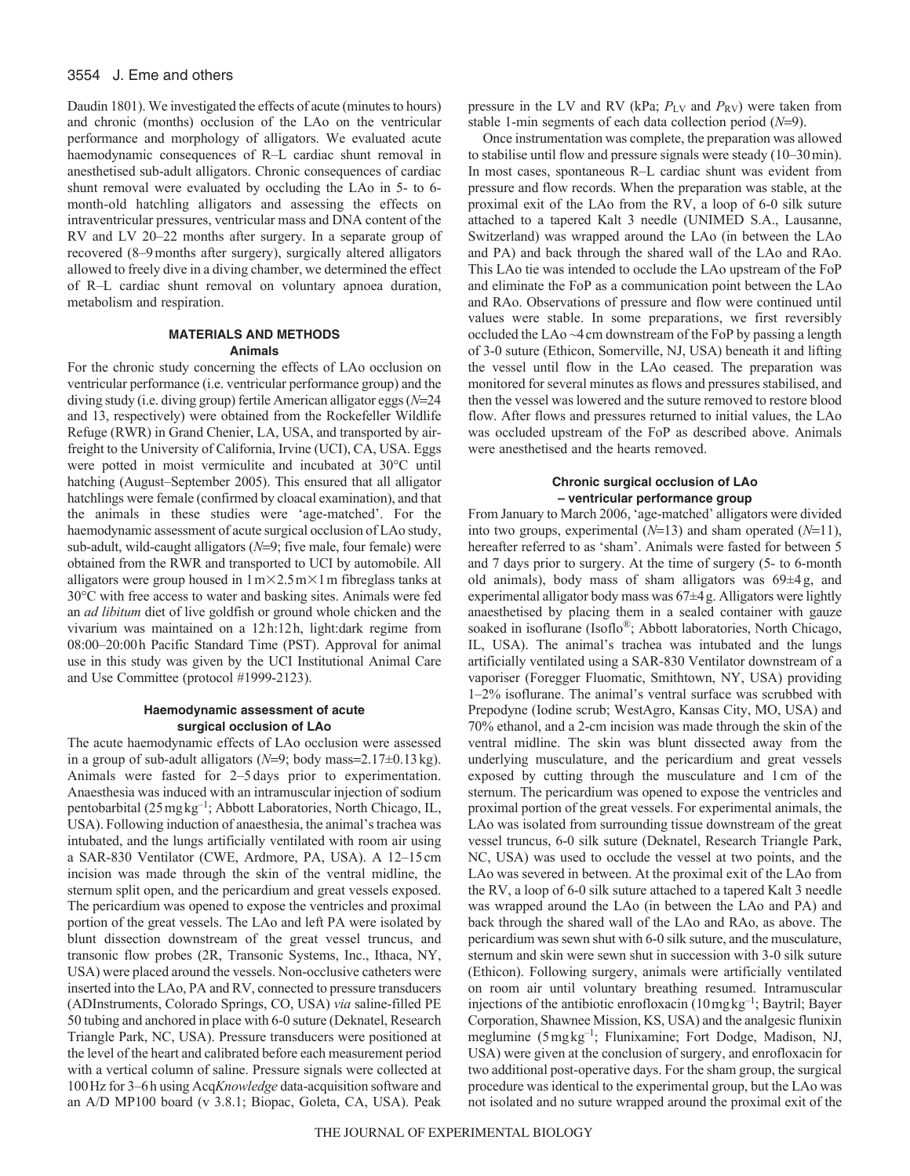#### 3554 J. Eme and others

Daudin 1801). We investigated the effects of acute (minutes to hours) and chronic (months) occlusion of the LAo on the ventricular performance and morphology of alligators. We evaluated acute haemodynamic consequences of R–L cardiac shunt removal in anesthetised sub-adult alligators. Chronic consequences of cardiac shunt removal were evaluated by occluding the LAo in 5- to 6 month-old hatchling alligators and assessing the effects on intraventricular pressures, ventricular mass and DNA content of the RV and LV 20–22 months after surgery. In a separate group of recovered (8–9months after surgery), surgically altered alligators allowed to freely dive in a diving chamber, we determined the effect of R–L cardiac shunt removal on voluntary apnoea duration, metabolism and respiration.

#### **MATERIALS AND METHODS Animals**

For the chronic study concerning the effects of LAo occlusion on ventricular performance (i.e. ventricular performance group) and the diving study (i.e. diving group) fertile American alligator eggs (*N*=24 and 13, respectively) were obtained from the Rockefeller Wildlife Refuge (RWR) in Grand Chenier, LA, USA, and transported by airfreight to the University of California, Irvine (UCI), CA, USA. Eggs were potted in moist vermiculite and incubated at 30°C until hatching (August–September 2005). This ensured that all alligator hatchlings were female (confirmed by cloacal examination), and that the animals in these studies were 'age-matched'. For the haemodynamic assessment of acute surgical occlusion of LAo study, sub-adult, wild-caught alligators ( $N=9$ ; five male, four female) were obtained from the RWR and transported to UCI by automobile. All alligators were group housed in  $1 \text{ m} \times 2.5 \text{ m} \times 1 \text{ m}$  fibreglass tanks at 30°C with free access to water and basking sites. Animals were fed an *ad libitum* diet of live goldfish or ground whole chicken and the vivarium was maintained on a 12h:12h, light:dark regime from 08:00–20:00h Pacific Standard Time (PST). Approval for animal use in this study was given by the UCI Institutional Animal Care and Use Committee (protocol #1999-2123).

# **Haemodynamic assessment of acute surgical occlusion of LAo**

The acute haemodynamic effects of LAo occlusion were assessed in a group of sub-adult alligators  $(N=9; \text{body mass}=2.17\pm0.13 \text{kg})$ . Animals were fasted for 2–5 days prior to experimentation. Anaesthesia was induced with an intramuscular injection of sodium pentobarbital (25mgkg–1; Abbott Laboratories, North Chicago, IL, USA). Following induction of anaesthesia, the animal's trachea was intubated, and the lungs artificially ventilated with room air using a SAR-830 Ventilator (CWE, Ardmore, PA, USA). A 12–15cm incision was made through the skin of the ventral midline, the sternum split open, and the pericardium and great vessels exposed. The pericardium was opened to expose the ventricles and proximal portion of the great vessels. The LAo and left PA were isolated by blunt dissection downstream of the great vessel truncus, and transonic flow probes (2R, Transonic Systems, Inc., Ithaca, NY, USA) were placed around the vessels. Non-occlusive catheters were inserted into the LAo, PA and RV, connected to pressure transducers (ADInstruments, Colorado Springs, CO, USA) *via* saline-filled PE 50 tubing and anchored in place with 6-0 suture (Deknatel, Research Triangle Park, NC, USA). Pressure transducers were positioned at the level of the heart and calibrated before each measurement period with a vertical column of saline. Pressure signals were collected at 100Hz for 3–6h using Acq*Knowledge* data-acquisition software and an A/D MP100 board (v 3.8.1; Biopac, Goleta, CA, USA). Peak pressure in the LV and RV (kPa;  $P_{LV}$  and  $P_{RV}$ ) were taken from stable 1-min segments of each data collection period  $(N=9)$ .

Once instrumentation was complete, the preparation was allowed to stabilise until flow and pressure signals were steady (10–30min). In most cases, spontaneous R–L cardiac shunt was evident from pressure and flow records. When the preparation was stable, at the proximal exit of the LAo from the RV, a loop of 6-0 silk suture attached to a tapered Kalt 3 needle (UNIMED S.A., Lausanne, Switzerland) was wrapped around the LAo (in between the LAo and PA) and back through the shared wall of the LAo and RAo. This LAo tie was intended to occlude the LAo upstream of the FoP and eliminate the FoP as a communication point between the LAo and RAo. Observations of pressure and flow were continued until values were stable. In some preparations, we first reversibly occluded the LAo ~4cm downstream of the FoP by passing a length of 3-0 suture (Ethicon, Somerville, NJ, USA) beneath it and lifting the vessel until flow in the LAo ceased. The preparation was monitored for several minutes as flows and pressures stabilised, and then the vessel was lowered and the suture removed to restore blood flow. After flows and pressures returned to initial values, the LAo was occluded upstream of the FoP as described above. Animals were anesthetised and the hearts removed.

#### **Chronic surgical occlusion of LAo – ventricular performance group**

From January to March 2006, 'age-matched' alligators were divided into two groups, experimental  $(N=13)$  and sham operated  $(N=11)$ , hereafter referred to as 'sham'. Animals were fasted for between 5 and 7 days prior to surgery. At the time of surgery (5- to 6-month old animals), body mass of sham alligators was 69±4 g, and experimental alligator body mass was 67±4g. Alligators were lightly anaesthetised by placing them in a sealed container with gauze soaked in isoflurane (Isoflo®; Abbott laboratories, North Chicago, IL, USA). The animal's trachea was intubated and the lungs artificially ventilated using a SAR-830 Ventilator downstream of a vaporiser (Foregger Fluomatic, Smithtown, NY, USA) providing 1–2% isoflurane. The animal's ventral surface was scrubbed with Prepodyne (Iodine scrub; WestAgro, Kansas City, MO, USA) and 70% ethanol, and a 2-cm incision was made through the skin of the ventral midline. The skin was blunt dissected away from the underlying musculature, and the pericardium and great vessels exposed by cutting through the musculature and 1cm of the sternum. The pericardium was opened to expose the ventricles and proximal portion of the great vessels. For experimental animals, the LAo was isolated from surrounding tissue downstream of the great vessel truncus, 6-0 silk suture (Deknatel, Research Triangle Park, NC, USA) was used to occlude the vessel at two points, and the LAo was severed in between. At the proximal exit of the LAo from the RV, a loop of 6-0 silk suture attached to a tapered Kalt 3 needle was wrapped around the LAo (in between the LAo and PA) and back through the shared wall of the LAo and RAo, as above. The pericardium was sewn shut with 6-0 silk suture, and the musculature, sternum and skin were sewn shut in succession with 3-0 silk suture (Ethicon). Following surgery, animals were artificially ventilated on room air until voluntary breathing resumed. Intramuscular injections of the antibiotic enrofloxacin (10mgkg–1; Baytril; Bayer Corporation, Shawnee Mission, KS, USA) and the analgesic flunixin meglumine (5mgkg–1; Flunixamine; Fort Dodge, Madison, NJ, USA) were given at the conclusion of surgery, and enrofloxacin for two additional post-operative days. For the sham group, the surgical procedure was identical to the experimental group, but the LAo was not isolated and no suture wrapped around the proximal exit of the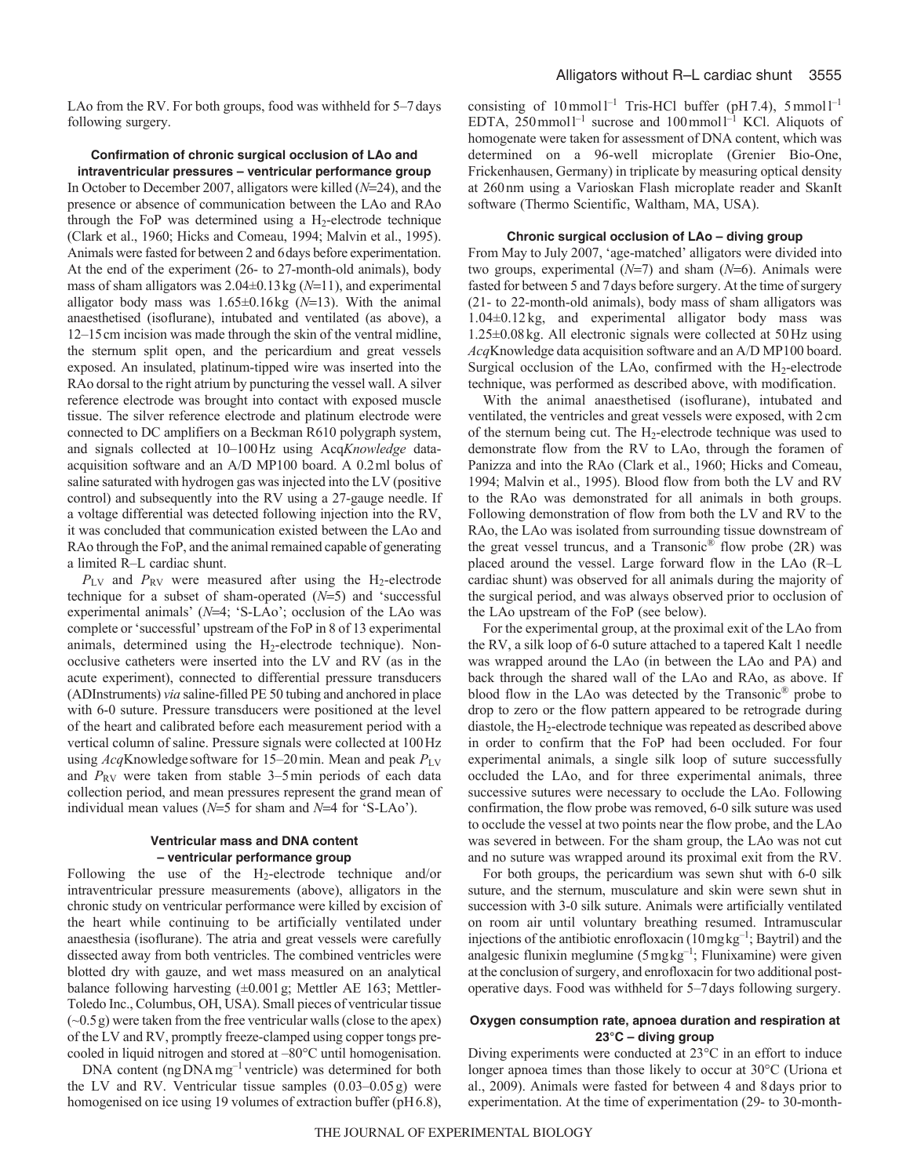LAo from the RV. For both groups, food was withheld for 5–7days following surgery.

# **Confirmation of chronic surgical occlusion of LAo and intraventricular pressures – ventricular performance group**

In October to December 2007, alligators were killed ( $N=24$ ), and the presence or absence of communication between the LAo and RAo through the FoP was determined using a  $H_2$ -electrode technique (Clark et al., 1960; Hicks and Comeau, 1994; Malvin et al., 1995). Animals were fasted for between 2 and 6days before experimentation. At the end of the experiment (26- to 27-month-old animals), body mass of sham alligators was  $2.04\pm0.13$  kg ( $N=11$ ), and experimental alligator body mass was  $1.65\pm0.16$  kg ( $N=13$ ). With the animal anaesthetised (isoflurane), intubated and ventilated (as above), a 12–15cm incision was made through the skin of the ventral midline, the sternum split open, and the pericardium and great vessels exposed. An insulated, platinum-tipped wire was inserted into the RAo dorsal to the right atrium by puncturing the vessel wall. A silver reference electrode was brought into contact with exposed muscle tissue. The silver reference electrode and platinum electrode were connected to DC amplifiers on a Beckman R610 polygraph system, and signals collected at 10–100Hz using Acq*Knowledge* dataacquisition software and an A/D MP100 board. A 0.2ml bolus of saline saturated with hydrogen gas was injected into the LV (positive control) and subsequently into the RV using a 27-gauge needle. If a voltage differential was detected following injection into the RV, it was concluded that communication existed between the LAo and RAo through the FoP, and the animal remained capable of generating a limited R–L cardiac shunt.

 $P_{\text{LV}}$  and  $P_{\text{RV}}$  were measured after using the H<sub>2</sub>-electrode technique for a subset of sham-operated  $(N=5)$  and 'successful experimental animals' ( $N=4$ ; 'S-LAo'; occlusion of the LAo was complete or 'successful' upstream of the FoP in 8 of 13 experimental animals, determined using the H2-electrode technique). Nonocclusive catheters were inserted into the LV and RV (as in the acute experiment), connected to differential pressure transducers (ADInstruments) *via* saline-filled PE 50 tubing and anchored in place with 6-0 suture. Pressure transducers were positioned at the level of the heart and calibrated before each measurement period with a vertical column of saline. Pressure signals were collected at 100Hz using *Acq*Knowledge software for 15–20min. Mean and peak *P*LV and  $P_{RV}$  were taken from stable 3–5 min periods of each data collection period, and mean pressures represent the grand mean of individual mean values ( $N=5$  for sham and  $N=4$  for 'S-LAo').

# **Ventricular mass and DNA content – ventricular performance group**

Following the use of the  $H_2$ -electrode technique and/or intraventricular pressure measurements (above), alligators in the chronic study on ventricular performance were killed by excision of the heart while continuing to be artificially ventilated under anaesthesia (isoflurane). The atria and great vessels were carefully dissected away from both ventricles. The combined ventricles were blotted dry with gauze, and wet mass measured on an analytical balance following harvesting  $(\pm 0.001 \text{ g})$ ; Mettler AE 163; Mettler-Toledo Inc., Columbus, OH, USA). Small pieces of ventricular tissue (~0.5g) were taken from the free ventricular walls (close to the apex) of the LV and RV, promptly freeze-clamped using copper tongs precooled in liquid nitrogen and stored at –80°C until homogenisation.

DNA content (ng DNA mg<sup>-1</sup> ventricle) was determined for both the LV and RV. Ventricular tissue samples  $(0.03-0.05g)$  were homogenised on ice using 19 volumes of extraction buffer (pH6.8),

consisting of  $10$  mmol<sup>1-1</sup> Tris-HCl buffer (pH7.4),  $5$  mmol<sup>1-1</sup> EDTA,  $250 \text{ mmol}^{-1}$  sucrose and  $100 \text{ mmol}^{-1}$  KCl. Aliquots of homogenate were taken for assessment of DNA content, which was determined on a 96-well microplate (Grenier Bio-One, Frickenhausen, Germany) in triplicate by measuring optical density at 260nm using a Varioskan Flash microplate reader and SkanIt software (Thermo Scientific, Waltham, MA, USA).

# **Chronic surgical occlusion of LAo – diving group**

From May to July 2007, 'age-matched' alligators were divided into two groups, experimental  $(N=7)$  and sham  $(N=6)$ . Animals were fasted for between 5 and 7days before surgery. At the time of surgery (21- to 22-month-old animals), body mass of sham alligators was 1.04±0.12 kg, and experimental alligator body mass was 1.25±0.08kg. All electronic signals were collected at 50Hz using *Acq*Knowledge data acquisition software and an A/D MP100 board. Surgical occlusion of the LAo, confirmed with the  $H_2$ -electrode technique, was performed as described above, with modification.

With the animal anaesthetised (isoflurane), intubated and ventilated, the ventricles and great vessels were exposed, with 2cm of the sternum being cut. The H2-electrode technique was used to demonstrate flow from the RV to LAo, through the foramen of Panizza and into the RAo (Clark et al., 1960; Hicks and Comeau, 1994; Malvin et al., 1995). Blood flow from both the LV and RV to the RAo was demonstrated for all animals in both groups. Following demonstration of flow from both the LV and RV to the RAo, the LAo was isolated from surrounding tissue downstream of the great vessel truncus, and a Transonic<sup>®</sup> flow probe  $(2R)$  was placed around the vessel. Large forward flow in the LAo (R–L cardiac shunt) was observed for all animals during the majority of the surgical period, and was always observed prior to occlusion of the LAo upstream of the FoP (see below).

For the experimental group, at the proximal exit of the LAo from the RV, a silk loop of 6-0 suture attached to a tapered Kalt 1 needle was wrapped around the LAo (in between the LAo and PA) and back through the shared wall of the LAo and RAo, as above. If blood flow in the LAo was detected by the Transonic® probe to drop to zero or the flow pattern appeared to be retrograde during diastole, the H2-electrode technique was repeated as described above in order to confirm that the FoP had been occluded. For four experimental animals, a single silk loop of suture successfully occluded the LAo, and for three experimental animals, three successive sutures were necessary to occlude the LAo. Following confirmation, the flow probe was removed, 6-0 silk suture was used to occlude the vessel at two points near the flow probe, and the LAo was severed in between. For the sham group, the LAo was not cut and no suture was wrapped around its proximal exit from the RV.

For both groups, the pericardium was sewn shut with 6-0 silk suture, and the sternum, musculature and skin were sewn shut in succession with 3-0 silk suture. Animals were artificially ventilated on room air until voluntary breathing resumed. Intramuscular injections of the antibiotic enrofloxacin (10mgkg–1; Baytril) and the analgesic flunixin meglumine (5mgkg–1; Flunixamine) were given at the conclusion of surgery, and enrofloxacin for two additional postoperative days. Food was withheld for 5–7days following surgery.

#### **Oxygen consumption rate, apnoea duration and respiration at 23°C – diving group**

Diving experiments were conducted at 23°C in an effort to induce longer apnoea times than those likely to occur at 30°C (Uriona et al., 2009). Animals were fasted for between 4 and 8days prior to experimentation. At the time of experimentation (29- to 30-month-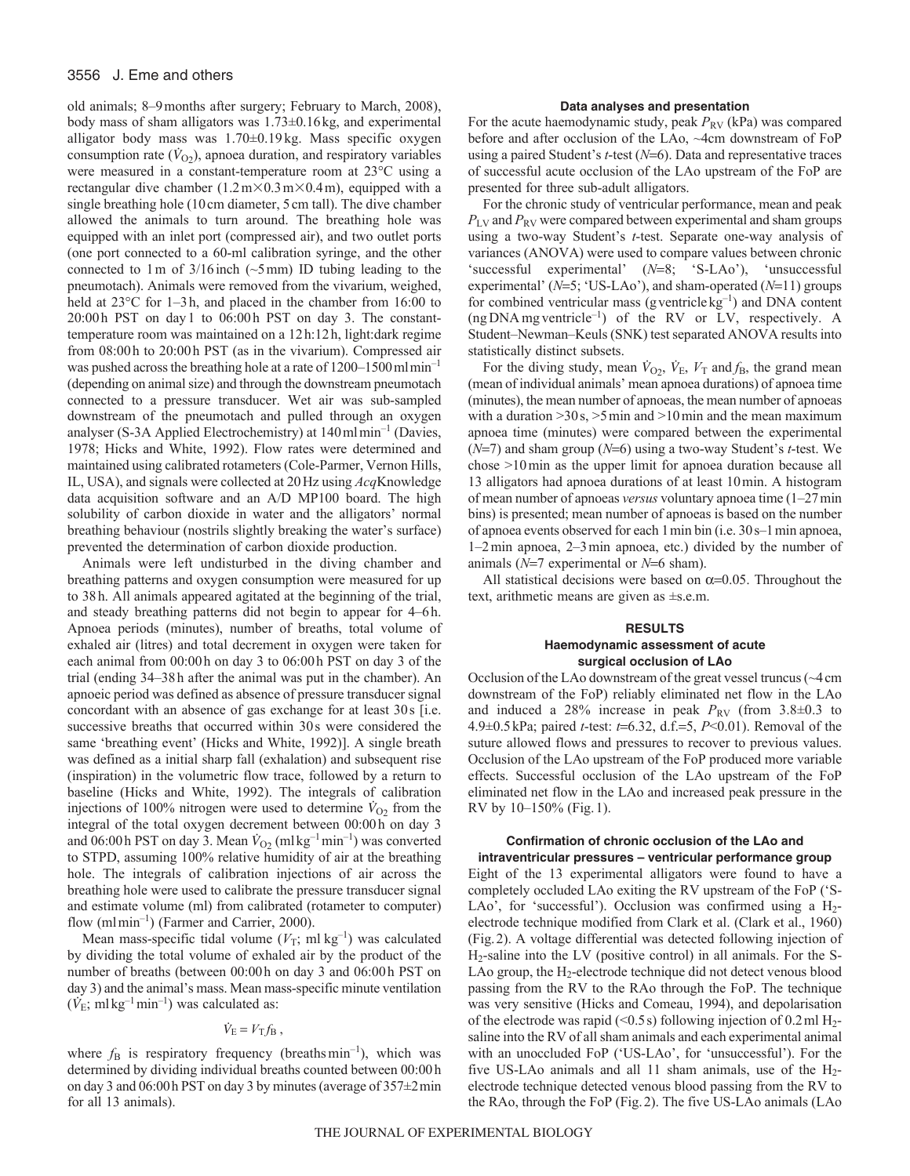#### 3556 J. Eme and others

old animals; 8–9months after surgery; February to March, 2008), body mass of sham alligators was 1.73±0.16kg, and experimental alligator body mass was 1.70±0.19 kg. Mass specific oxygen consumption rate  $(\dot{V}_{O2})$ , apnoea duration, and respiratory variables were measured in a constant-temperature room at 23°C using a rectangular dive chamber  $(1.2 \text{ m} \times 0.3 \text{ m} \times 0.4 \text{ m})$ , equipped with a single breathing hole (10cm diameter, 5cm tall). The dive chamber allowed the animals to turn around. The breathing hole was equipped with an inlet port (compressed air), and two outlet ports (one port connected to a 60-ml calibration syringe, and the other connected to 1 m of  $3/16$  inch ( $\sim$ 5 mm) ID tubing leading to the pneumotach). Animals were removed from the vivarium, weighed, held at  $23^{\circ}$ C for 1–3h, and placed in the chamber from 16:00 to 20:00h PST on day1 to 06:00h PST on day 3. The constanttemperature room was maintained on a 12h:12h, light:dark regime from 08:00h to 20:00h PST (as in the vivarium). Compressed air was pushed across the breathing hole at a rate of 1200–1500 ml min<sup>-1</sup> (depending on animal size) and through the downstream pneumotach connected to a pressure transducer. Wet air was sub-sampled downstream of the pneumotach and pulled through an oxygen analyser (S-3A Applied Electrochemistry) at 140mlmin–1 (Davies, 1978; Hicks and White, 1992). Flow rates were determined and maintained using calibrated rotameters (Cole-Parmer, Vernon Hills, IL, USA), and signals were collected at 20Hz using *Acq*Knowledge data acquisition software and an A/D MP100 board. The high solubility of carbon dioxide in water and the alligators' normal breathing behaviour (nostrils slightly breaking the water's surface) prevented the determination of carbon dioxide production.

Animals were left undisturbed in the diving chamber and breathing patterns and oxygen consumption were measured for up to 38h. All animals appeared agitated at the beginning of the trial, and steady breathing patterns did not begin to appear for 4–6h. Apnoea periods (minutes), number of breaths, total volume of exhaled air (litres) and total decrement in oxygen were taken for each animal from 00:00h on day 3 to 06:00h PST on day 3 of the trial (ending 34–38h after the animal was put in the chamber). An apnoeic period was defined as absence of pressure transducer signal concordant with an absence of gas exchange for at least 30s [i.e. successive breaths that occurred within 30s were considered the same 'breathing event' (Hicks and White, 1992)]. A single breath was defined as a initial sharp fall (exhalation) and subsequent rise (inspiration) in the volumetric flow trace, followed by a return to baseline (Hicks and White, 1992). The integrals of calibration injections of 100% nitrogen were used to determine  $\dot{V}_{O2}$  from the integral of the total oxygen decrement between 00:00h on day 3 and 06:00 h PST on day 3. Mean  $\dot{V}_{O2}$  (ml kg<sup>-1</sup>min<sup>-1</sup>) was converted to STPD, assuming 100% relative humidity of air at the breathing hole. The integrals of calibration injections of air across the breathing hole were used to calibrate the pressure transducer signal and estimate volume (ml) from calibrated (rotameter to computer) flow (mlmin<sup>-1</sup>) (Farmer and Carrier, 2000).

Mean mass-specific tidal volume  $(V_T; \text{ ml kg}^{-1})$  was calculated by dividing the total volume of exhaled air by the product of the number of breaths (between 00:00h on day 3 and 06:00h PST on day 3) and the animal's mass. Mean mass-specific minute ventilation  $(\dot{V}_{\rm E}; \, {\rm ml \, kg^{-1} \, min^{-1}})$  was calculated as:

# $\dot{V}_{\rm E} = V_{\rm T} f_{\rm B}$ ,

where  $f_B$  is respiratory frequency (breaths min<sup>-1</sup>), which was determined by dividing individual breaths counted between 00:00h on day 3 and 06:00h PST on day 3 by minutes (average of 357±2min for all 13 animals).

#### **Data analyses and presentation**

For the acute haemodynamic study, peak  $P_{RV}$  (kPa) was compared before and after occlusion of the LAo, ~4cm downstream of FoP using a paired Student's *t*-test (*N*=6). Data and representative traces of successful acute occlusion of the LAo upstream of the FoP are presented for three sub-adult alligators.

For the chronic study of ventricular performance, mean and peak *P*LV and *P*RV were compared between experimental and sham groups using a two-way Student's *t*-test. Separate one-way analysis of variances (ANOVA) were used to compare values between chronic 'successful experimental' (*N*=8; 'S-LAo'), 'unsuccessful experimental'  $(N=5; 'US-LAo')$ , and sham-operated  $(N=11)$  groups for combined ventricular mass (gventricle  $kg^{-1}$ ) and DNA content  $(ngDNAmg ventricle^{-1})$  of the RV or LV, respectively. A Student–Newman–Keuls (SNK) test separated ANOVA results into statistically distinct subsets.

For the diving study, mean  $\dot{V}_{O2}$ ,  $\dot{V}_{E}$ ,  $V_{T}$  and  $f_{B}$ , the grand mean (mean of individual animals' mean apnoea durations) of apnoea time (minutes), the mean number of apnoeas, the mean number of apnoeas with a duration  $>30 s$ ,  $>5 min$  and  $>10 min$  and the mean maximum apnoea time (minutes) were compared between the experimental  $(N=7)$  and sham group  $(N=6)$  using a two-way Student's *t*-test. We chose >10min as the upper limit for apnoea duration because all 13 alligators had apnoea durations of at least 10min. A histogram of mean number of apnoeas *versus* voluntary apnoea time (1–27min bins) is presented; mean number of apnoeas is based on the number of apnoea events observed for each 1min bin (i.e. 30s–1min apnoea, 1–2min apnoea, 2–3min apnoea, etc.) divided by the number of animals  $(N=7)$  experimental or  $N=6$  sham).

All statistical decisions were based on  $\alpha$ =0.05. Throughout the text, arithmetic means are given as ±s.e.m.

#### **RESULTS Haemodynamic assessment of acute surgical occlusion of LAo**

Occlusion of the LAo downstream of the great vessel truncus (~4cm downstream of the FoP) reliably eliminated net flow in the LAo and induced a 28% increase in peak  $P_{RV}$  (from 3.8 $\pm$ 0.3 to 4.9±0.5kPa; paired *t*-test: *t*=6.32, d.f.=5, *P*<0.01). Removal of the suture allowed flows and pressures to recover to previous values. Occlusion of the LAo upstream of the FoP produced more variable effects. Successful occlusion of the LAo upstream of the FoP eliminated net flow in the LAo and increased peak pressure in the RV by 10–150% (Fig.1).

#### **Confirmation of chronic occlusion of the LAo and intraventricular pressures – ventricular performance group**

Eight of the 13 experimental alligators were found to have a completely occluded LAo exiting the RV upstream of the FoP ('S-LAo', for 'successful'). Occlusion was confirmed using a  $H_2$ electrode technique modified from Clark et al. (Clark et al., 1960) (Fig.2). A voltage differential was detected following injection of H2-saline into the LV (positive control) in all animals. For the S-LAo group, the  $H_2$ -electrode technique did not detect venous blood passing from the RV to the RAo through the FoP. The technique was very sensitive (Hicks and Comeau, 1994), and depolarisation of the electrode was rapid (<0.5 s) following injection of 0.2ml  $H_2$ saline into the RV of all sham animals and each experimental animal with an unoccluded FoP ('US-LAo', for 'unsuccessful'). For the five US-LAo animals and all 11 sham animals, use of the  $H_2$ electrode technique detected venous blood passing from the RV to the RAo, through the FoP (Fig.2). The five US-LAo animals (LAo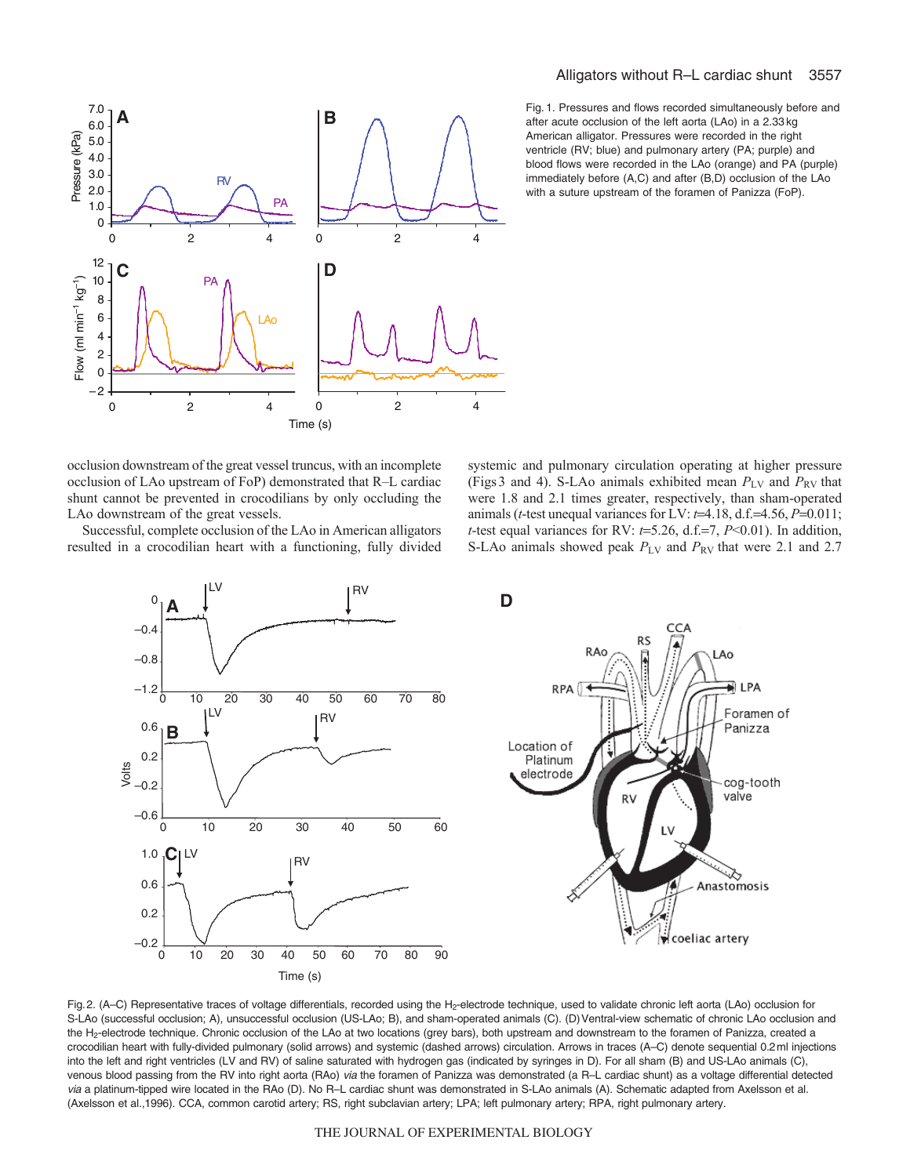

Fig. 1. Pressures and flows recorded simultaneously before and after acute occlusion of the left aorta (LAo) in a 2.33 kg American alligator. Pressures were recorded in the right ventricle (RV; blue) and pulmonary artery (PA; purple) and blood flows were recorded in the LAo (orange) and PA (purple) immediately before (A,C) and after (B,D) occlusion of the LAo with a suture upstream of the foramen of Panizza (FoP).

occlusion downstream of the great vessel truncus, with an incomplete occlusion of LAo upstream of FoP) demonstrated that R–L cardiac shunt cannot be prevented in crocodilians by only occluding the LAo downstream of the great vessels.

Successful, complete occlusion of the LAo in American alligators resulted in a crocodilian heart with a functioning, fully divided systemic and pulmonary circulation operating at higher pressure (Figs3 and 4). S-LAo animals exhibited mean  $P_{\rm LV}$  and  $P_{\rm RV}$  that were 1.8 and 2.1 times greater, respectively, than sham-operated animals ( $t$ -test unequal variances for LV:  $t$ =4.18, d.f.=4.56,  $P$ =0.011; *t*-test equal variances for RV:  $t=5.26$ , d.f.=7,  $P<0.01$ ). In addition, S-LAo animals showed peak  $P_{\text{LV}}$  and  $P_{\text{RV}}$  that were 2.1 and 2.7



Fig.2. (A-C) Representative traces of voltage differentials, recorded using the H<sub>2</sub>-electrode technique, used to validate chronic left aorta (LAo) occlusion for S-LAo (successful occlusion; A), unsuccessful occlusion (US-LAo; B), and sham-operated animals (C). (D)Ventral-view schematic of chronic LAo occlusion and the H2-electrode technique. Chronic occlusion of the LAo at two locations (grey bars), both upstream and downstream to the foramen of Panizza, created a crocodilian heart with fully-divided pulmonary (solid arrows) and systemic (dashed arrows) circulation. Arrows in traces (A–C) denote sequential 0.2ml injections into the left and right ventricles (LV and RV) of saline saturated with hydrogen gas (indicated by syringes in D). For all sham (B) and US-LAo animals (C), venous blood passing from the RV into right aorta (RAo) via the foramen of Panizza was demonstrated (a R–L cardiac shunt) as a voltage differential detected via a platinum-tipped wire located in the RAo (D). No R-L cardiac shunt was demonstrated in S-LAo animals (A). Schematic adapted from Axelsson et al. (Axelsson et al.,1996). CCA, common carotid artery; RS, right subclavian artery; LPA; left pulmonary artery; RPA, right pulmonary artery.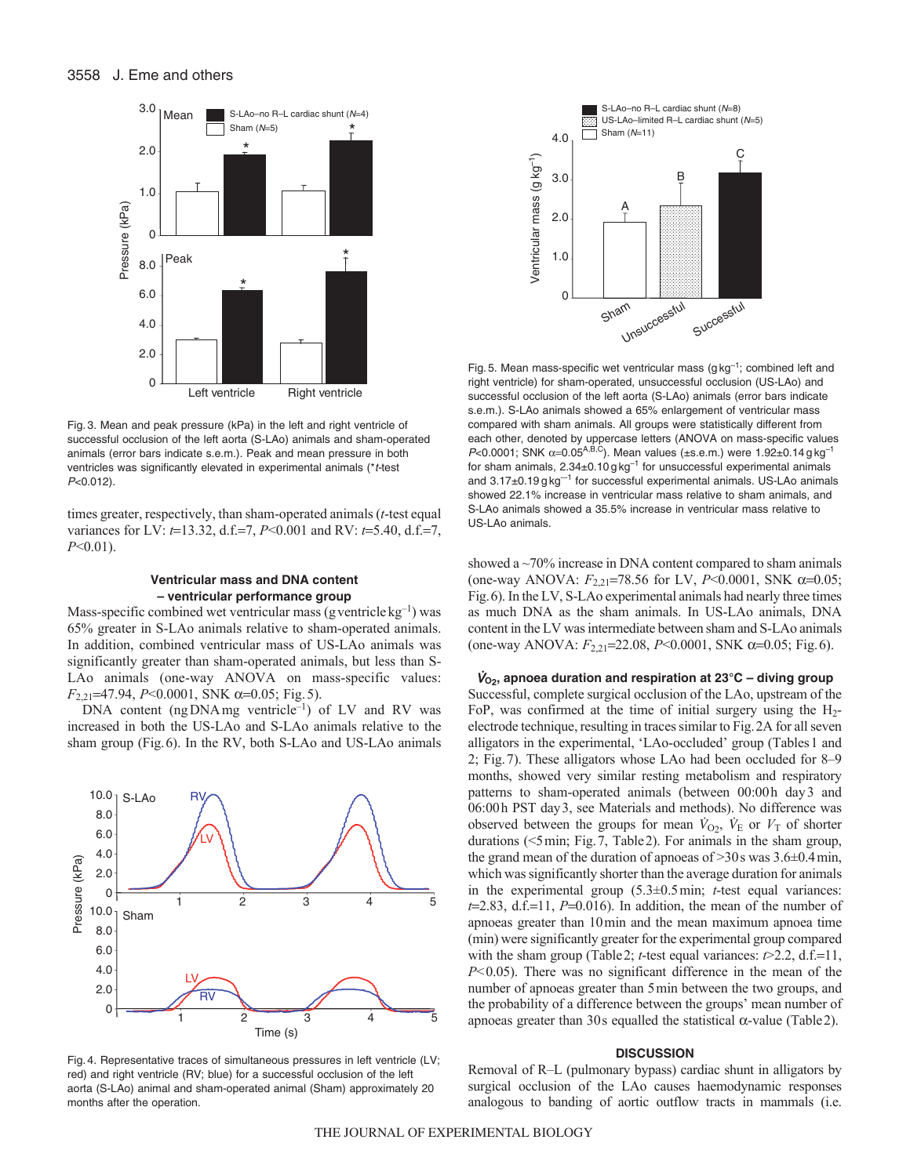

Fig. 3. Mean and peak pressure (kPa) in the left and right ventricle of successful occlusion of the left aorta (S-LAo) animals and sham-operated animals (error bars indicate s.e.m.). Peak and mean pressure in both ventricles was significantly elevated in experimental animals (\*t-test P<0.012).

times greater, respectively, than sham-operated animals (*t*-test equal variances for LV: *t*=13.32, d.f.=7, *P*<0.001 and RV: *t*=5.40, d.f.=7, *P*<0.01).

#### **Ventricular mass and DNA content – ventricular performance group**

Mass-specific combined wet ventricular mass (g ventricle  $kg^{-1}$ ) was 65% greater in S-LAo animals relative to sham-operated animals. In addition, combined ventricular mass of US-LAo animals was significantly greater than sham-operated animals, but less than S-LAo animals (one-way ANOVA on mass-specific values: *F*<sub>2,21</sub>=47.94, *P*<0.0001, SNK α=0.05; Fig. 5).

DNA content (ng DNA mg ventricle<sup>-1</sup>) of LV and RV was increased in both the US-LAo and S-LAo animals relative to the sham group (Fig.6). In the RV, both S-LAo and US-LAo animals



Fig. 4. Representative traces of simultaneous pressures in left ventricle (LV; red) and right ventricle (RV; blue) for a successful occlusion of the left aorta (S-LAo) animal and sham-operated animal (Sham) approximately 20 months after the operation.



Fig. 5. Mean mass-specific wet ventricular mass  $(g kg^{-1})$ ; combined left and right ventricle) for sham-operated, unsuccessful occlusion (US-LAo) and successful occlusion of the left aorta (S-LAo) animals (error bars indicate s.e.m.). S-LAo animals showed a 65% enlargement of ventricular mass compared with sham animals. All groups were statistically different from each other, denoted by uppercase letters (ANOVA on mass-specific values  $P< 0.0001$ ; SNK  $\alpha = 0.05^{A,B,C}$ ). Mean values (±s.e.m.) were 1.92±0.14 g kg<sup>-1</sup> for sham animals, 2.34±0.10 g kg–1 for unsuccessful experimental animals and  $3.17\pm0.19$  g kg<sup>--1</sup> for successful experimental animals. US-LAo animals showed 22.1% increase in ventricular mass relative to sham animals, and S-LAo animals showed a 35.5% increase in ventricular mass relative to US-LAo animals.

showed a  $\sim$ 70% increase in DNA content compared to sham animals (one-way ANOVA:  $F_{2,21}$ =78.56 for LV,  $P$ <0.0001, SNK  $\alpha$ =0.05; Fig.6). In the LV, S-LAo experimental animals had nearly three times as much DNA as the sham animals. In US-LAo animals, DNA content in the LV was intermediate between sham and S-LAo animals (one-way ANOVA: *F*<sub>2,21</sub>=22.08, *P*<0.0001, SNK α=0.05; Fig. 6).

<sup>V</sup>**O2, apnoea duration and respiration at 23°C – diving group** Successful, complete surgical occlusion of the LAo, upstream of the FoP, was confirmed at the time of initial surgery using the  $H_2$ electrode technique, resulting in traces similar to Fig.2A for all seven alligators in the experimental, 'LAo-occluded' group (Tables1 and 2; Fig.7). These alligators whose LAo had been occluded for 8–9 months, showed very similar resting metabolism and respiratory patterns to sham-operated animals (between 00:00h day3 and 06:00h PST day3, see Materials and methods). No difference was observed between the groups for mean  $\dot{V}_{\text{O}_2}$ ,  $\dot{V}_{\text{E}}$  or  $V_{\text{T}}$  of shorter durations (<5min; Fig.7, Table2). For animals in the sham group, the grand mean of the duration of apnoeas of >30s was 3.6±0.4min, which was significantly shorter than the average duration for animals in the experimental group (5.3±0.5min; *t*-test equal variances:  $t=2.83$ , d.f.=11, *P*=0.016). In addition, the mean of the number of apnoeas greater than 10min and the mean maximum apnoea time (min) were significantly greater for the experimental group compared with the sham group (Table 2; *t*-test equal variances:  $\epsilon$  > 2.2, d.f.=11, *P*<0.05). There was no significant difference in the mean of the number of apnoeas greater than 5min between the two groups, and the probability of a difference between the groups' mean number of apnoeas greater than 30s equalled the statistical  $\alpha$ -value (Table 2).

#### **DISCUSSION**

Removal of R–L (pulmonary bypass) cardiac shunt in alligators by surgical occlusion of the LAo causes haemodynamic responses analogous to banding of aortic outflow tracts in mammals (i.e.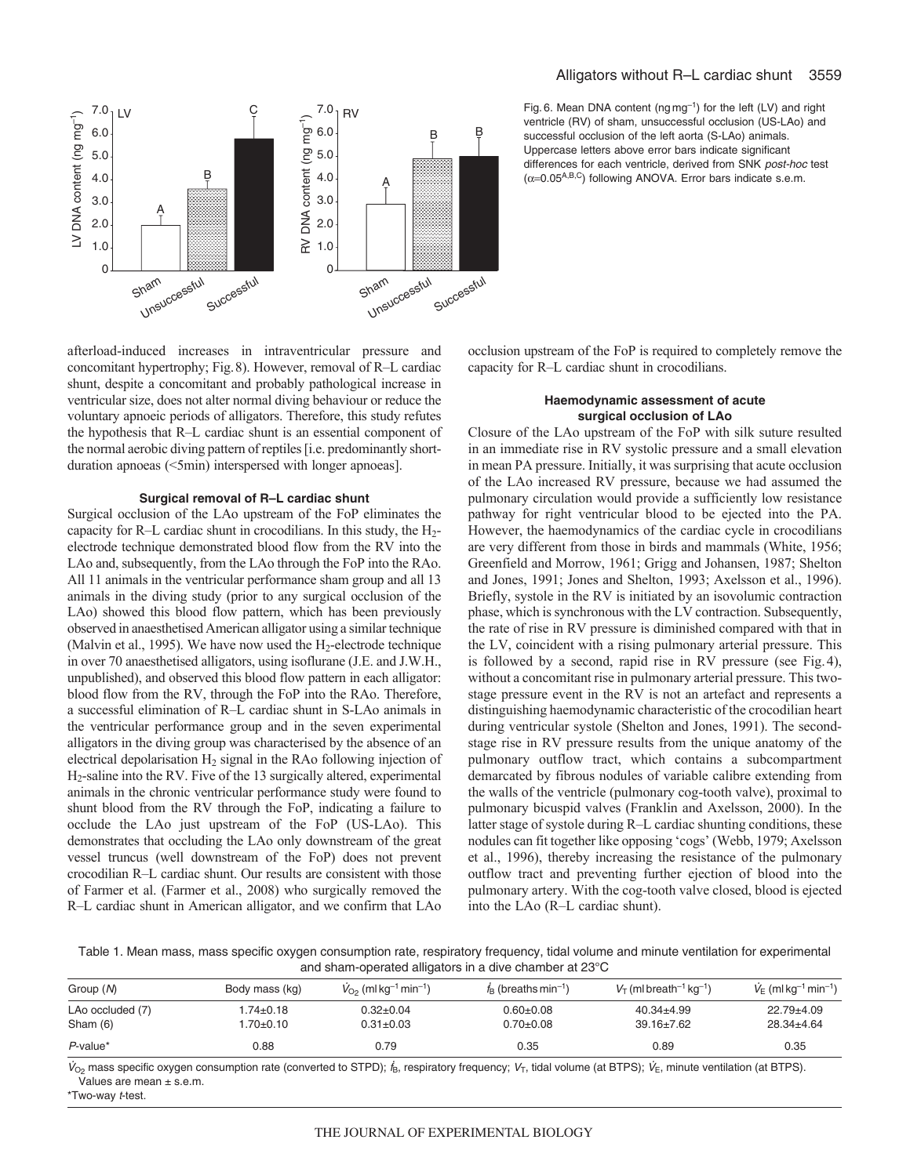

Fig. 6. Mean DNA content ( $ng\,mg^{-1}$ ) for the left (LV) and right ventricle (RV) of sham, unsuccessful occlusion (US-LAo) and successful occlusion of the left aorta (S-LAo) animals. Uppercase letters above error bars indicate significant differences for each ventricle, derived from SNK post-hoc test ( $\alpha$ =0.05<sup>A,B,C</sup>) following ANOVA. Error bars indicate s.e.m.

afterload-induced increases in intraventricular pressure and concomitant hypertrophy; Fig.8). However, removal of R–L cardiac shunt, despite a concomitant and probably pathological increase in ventricular size, does not alter normal diving behaviour or reduce the voluntary apnoeic periods of alligators. Therefore, this study refutes the hypothesis that R–L cardiac shunt is an essential component of the normal aerobic diving pattern of reptiles [i.e. predominantly shortduration apnoeas (<5min) interspersed with longer apnoeas].

#### **Surgical removal of R–L cardiac shunt**

Surgical occlusion of the LAo upstream of the FoP eliminates the capacity for R–L cardiac shunt in crocodilians. In this study, the  $H_2$ electrode technique demonstrated blood flow from the RV into the LAo and, subsequently, from the LAo through the FoP into the RAo. All 11 animals in the ventricular performance sham group and all 13 animals in the diving study (prior to any surgical occlusion of the LAo) showed this blood flow pattern, which has been previously observed in anaesthetised American alligator using a similar technique (Malvin et al., 1995). We have now used the H<sub>2</sub>-electrode technique in over 70 anaesthetised alligators, using isoflurane (J.E. and J.W.H., unpublished), and observed this blood flow pattern in each alligator: blood flow from the RV, through the FoP into the RAo. Therefore, a successful elimination of R–L cardiac shunt in S-LAo animals in the ventricular performance group and in the seven experimental alligators in the diving group was characterised by the absence of an electrical depolarisation  $H_2$  signal in the RAo following injection of H2-saline into the RV. Five of the 13 surgically altered, experimental animals in the chronic ventricular performance study were found to shunt blood from the RV through the FoP, indicating a failure to occlude the LAo just upstream of the FoP (US-LAo). This demonstrates that occluding the LAo only downstream of the great vessel truncus (well downstream of the FoP) does not prevent crocodilian R–L cardiac shunt. Our results are consistent with those of Farmer et al. (Farmer et al., 2008) who surgically removed the R–L cardiac shunt in American alligator, and we confirm that LAo occlusion upstream of the FoP is required to completely remove the capacity for R–L cardiac shunt in crocodilians.

# **Haemodynamic assessment of acute surgical occlusion of LAo**

Closure of the LAo upstream of the FoP with silk suture resulted in an immediate rise in RV systolic pressure and a small elevation in mean PA pressure. Initially, it was surprising that acute occlusion of the LAo increased RV pressure, because we had assumed the pulmonary circulation would provide a sufficiently low resistance pathway for right ventricular blood to be ejected into the PA. However, the haemodynamics of the cardiac cycle in crocodilians are very different from those in birds and mammals (White, 1956; Greenfield and Morrow, 1961; Grigg and Johansen, 1987; Shelton and Jones, 1991; Jones and Shelton, 1993; Axelsson et al., 1996). Briefly, systole in the RV is initiated by an isovolumic contraction phase, which is synchronous with the LV contraction. Subsequently, the rate of rise in RV pressure is diminished compared with that in the LV, coincident with a rising pulmonary arterial pressure. This is followed by a second, rapid rise in RV pressure (see Fig.4), without a concomitant rise in pulmonary arterial pressure. This twostage pressure event in the RV is not an artefact and represents a distinguishing haemodynamic characteristic of the crocodilian heart during ventricular systole (Shelton and Jones, 1991). The secondstage rise in RV pressure results from the unique anatomy of the pulmonary outflow tract, which contains a subcompartment demarcated by fibrous nodules of variable calibre extending from the walls of the ventricle (pulmonary cog-tooth valve), proximal to pulmonary bicuspid valves (Franklin and Axelsson, 2000). In the latter stage of systole during R–L cardiac shunting conditions, these nodules can fit together like opposing 'cogs' (Webb, 1979; Axelsson et al., 1996), thereby increasing the resistance of the pulmonary outflow tract and preventing further ejection of blood into the pulmonary artery. With the cog-tooth valve closed, blood is ejected into the LAo (R–L cardiac shunt).

Table 1. Mean mass, mass specific oxygen consumption rate, respiratory frequency, tidal volume and minute ventilation for experimental and sham-operated alligators in a dive chamber at 23°C

| Group (N)                    | Body mass (kg)               | $V_{\text{O}_2}$ (ml kg <sup>-1</sup> min <sup>-1</sup> ) | $f_B$ (breaths min <sup>-1</sup> ) | $V_T$ (ml breath <sup>-1</sup> kg <sup>-1</sup> ) | $V_{E}$ (ml kg <sup>-1</sup> min <sup>-1</sup> ) |
|------------------------------|------------------------------|-----------------------------------------------------------|------------------------------------|---------------------------------------------------|--------------------------------------------------|
| LAo occluded (7)<br>Sham (6) | $1.74 \pm 0.18$<br>1.70±0.10 | $0.32 \pm 0.04$<br>$0.31 \pm 0.03$                        | $0.60 + 0.08$<br>$0.70 \pm 0.08$   | $40.34 \pm 4.99$<br>$39.16 \pm 7.62$              | $22.79 \pm 4.09$<br>$28.34 \pm 4.64$             |
| $P$ -value*                  | 0.88                         | 0.79                                                      | 0.35                               | 0.89                                              | 0.35                                             |

 $V_{O_2}$  mass specific oxygen consumption rate (converted to STPD);  $f_B$ , respiratory frequency;  $V_T$ , tidal volume (at BTPS);  $V_E$ , minute ventilation (at BTPS). Values are mean ± s.e.m.

\*Two-way t-test.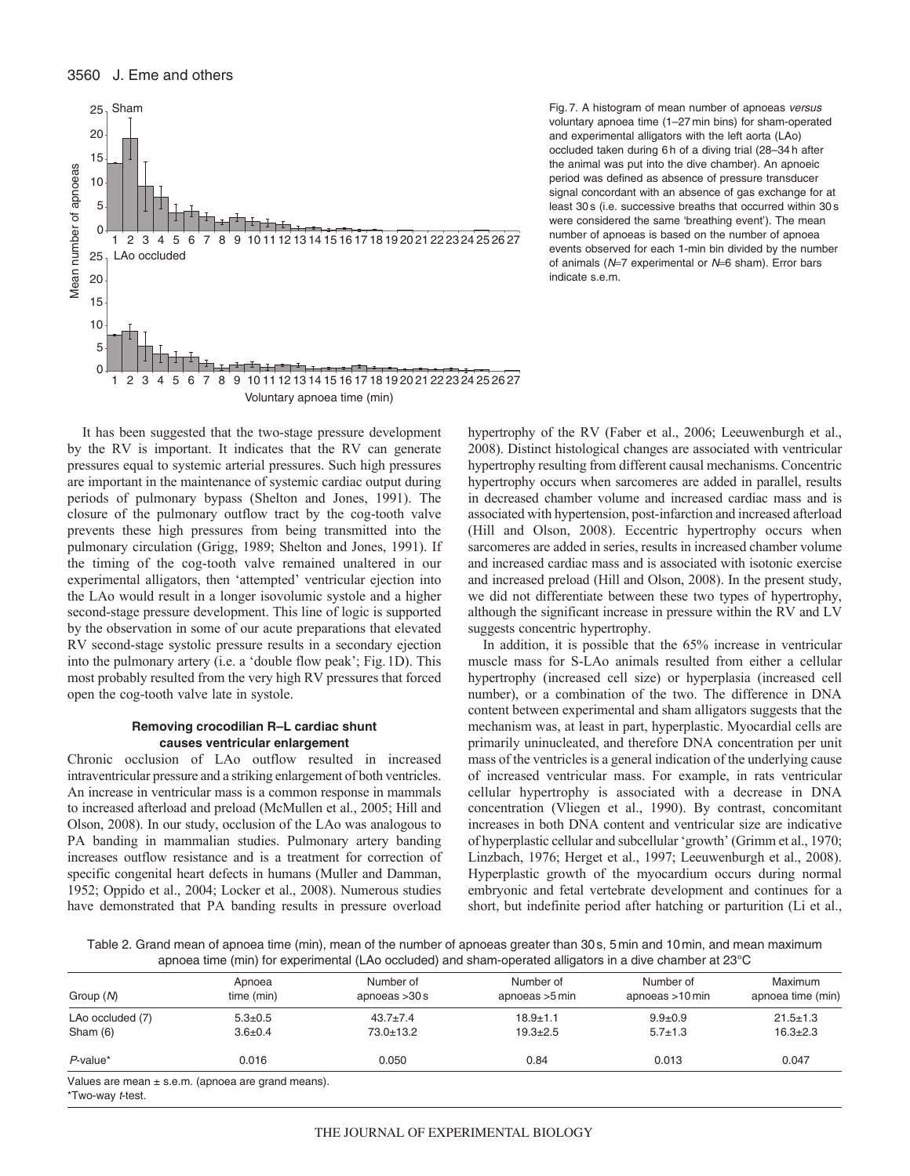

Fig. 7. A histogram of mean number of apnoeas versus voluntary apnoea time (1–27 min bins) for sham-operated and experimental alligators with the left aorta (LAo) occluded taken during 6 h of a diving trial (28–34 h after the animal was put into the dive chamber). An apnoeic period was defined as absence of pressure transducer signal concordant with an absence of gas exchange for at least 30 s (i.e. successive breaths that occurred within 30 s were considered the same 'breathing event'). The mean number of apnoeas is based on the number of apnoea events observed for each 1-min bin divided by the number of animals ( $N=7$  experimental or  $N=6$  sham). Error bars indicate s.e.m.

It has been suggested that the two-stage pressure development by the RV is important. It indicates that the RV can generate pressures equal to systemic arterial pressures. Such high pressures are important in the maintenance of systemic cardiac output during periods of pulmonary bypass (Shelton and Jones, 1991). The closure of the pulmonary outflow tract by the cog-tooth valve prevents these high pressures from being transmitted into the pulmonary circulation (Grigg, 1989; Shelton and Jones, 1991). If the timing of the cog-tooth valve remained unaltered in our experimental alligators, then 'attempted' ventricular ejection into the LAo would result in a longer isovolumic systole and a higher second-stage pressure development. This line of logic is supported by the observation in some of our acute preparations that elevated RV second-stage systolic pressure results in a secondary ejection into the pulmonary artery (i.e. a 'double flow peak'; Fig.1D). This most probably resulted from the very high RV pressures that forced open the cog-tooth valve late in systole.

#### **Removing crocodilian R–L cardiac shunt causes ventricular enlargement**

Chronic occlusion of LAo outflow resulted in increased intraventricular pressure and a striking enlargement of both ventricles. An increase in ventricular mass is a common response in mammals to increased afterload and preload (McMullen et al., 2005; Hill and Olson, 2008). In our study, occlusion of the LAo was analogous to PA banding in mammalian studies. Pulmonary artery banding increases outflow resistance and is a treatment for correction of specific congenital heart defects in humans (Muller and Damman, 1952; Oppido et al., 2004; Locker et al., 2008). Numerous studies have demonstrated that PA banding results in pressure overload

hypertrophy of the RV (Faber et al., 2006; Leeuwenburgh et al., 2008). Distinct histological changes are associated with ventricular hypertrophy resulting from different causal mechanisms. Concentric hypertrophy occurs when sarcomeres are added in parallel, results in decreased chamber volume and increased cardiac mass and is associated with hypertension, post-infarction and increased afterload (Hill and Olson, 2008). Eccentric hypertrophy occurs when sarcomeres are added in series, results in increased chamber volume and increased cardiac mass and is associated with isotonic exercise and increased preload (Hill and Olson, 2008). In the present study, we did not differentiate between these two types of hypertrophy, although the significant increase in pressure within the RV and LV suggests concentric hypertrophy.

In addition, it is possible that the 65% increase in ventricular muscle mass for S-LAo animals resulted from either a cellular hypertrophy (increased cell size) or hyperplasia (increased cell number), or a combination of the two. The difference in DNA content between experimental and sham alligators suggests that the mechanism was, at least in part, hyperplastic. Myocardial cells are primarily uninucleated, and therefore DNA concentration per unit mass of the ventricles is a general indication of the underlying cause of increased ventricular mass. For example, in rats ventricular cellular hypertrophy is associated with a decrease in DNA concentration (Vliegen et al., 1990). By contrast, concomitant increases in both DNA content and ventricular size are indicative of hyperplastic cellular and subcellular 'growth' (Grimm et al., 1970; Linzbach, 1976; Herget et al., 1997; Leeuwenburgh et al., 2008). Hyperplastic growth of the myocardium occurs during normal embryonic and fetal vertebrate development and continues for a short, but indefinite period after hatching or parturition (Li et al.,

Table 2. Grand mean of apnoea time (min), mean of the number of apnoeas greater than 30s, 5min and 10min, and mean maximum apnoea time (min) for experimental (LAo occluded) and sham-operated alligators in a dive chamber at 23°C

| Group (N)        | Apnoea<br>time (min)                                   | Number of<br>apnoeas $>30 s$ | Number of<br>apnoeas $>5$ min | Number of<br>apnoeas >10 min | Maximum<br>apnoea time (min) |
|------------------|--------------------------------------------------------|------------------------------|-------------------------------|------------------------------|------------------------------|
| LAo occluded (7) | $5.3 \pm 0.5$                                          | $43.7 \pm 7.4$               | $18.9 + 1.1$                  | $9.9 \pm 0.9$                | $21.5 \pm 1.3$               |
| Sham $(6)$       | $3.6 \pm 0.4$                                          | $73.0 \pm 13.2$              | $19.3 + 2.5$                  | $5.7 \pm 1.3$                | $16.3 \pm 2.3$               |
| $P$ -value*      | 0.016                                                  | 0.050                        | 0.84                          | 0.013                        | 0.047                        |
| *Two-way t-test. | Values are mean $\pm$ s.e.m. (apnoea are grand means). |                              |                               |                              |                              |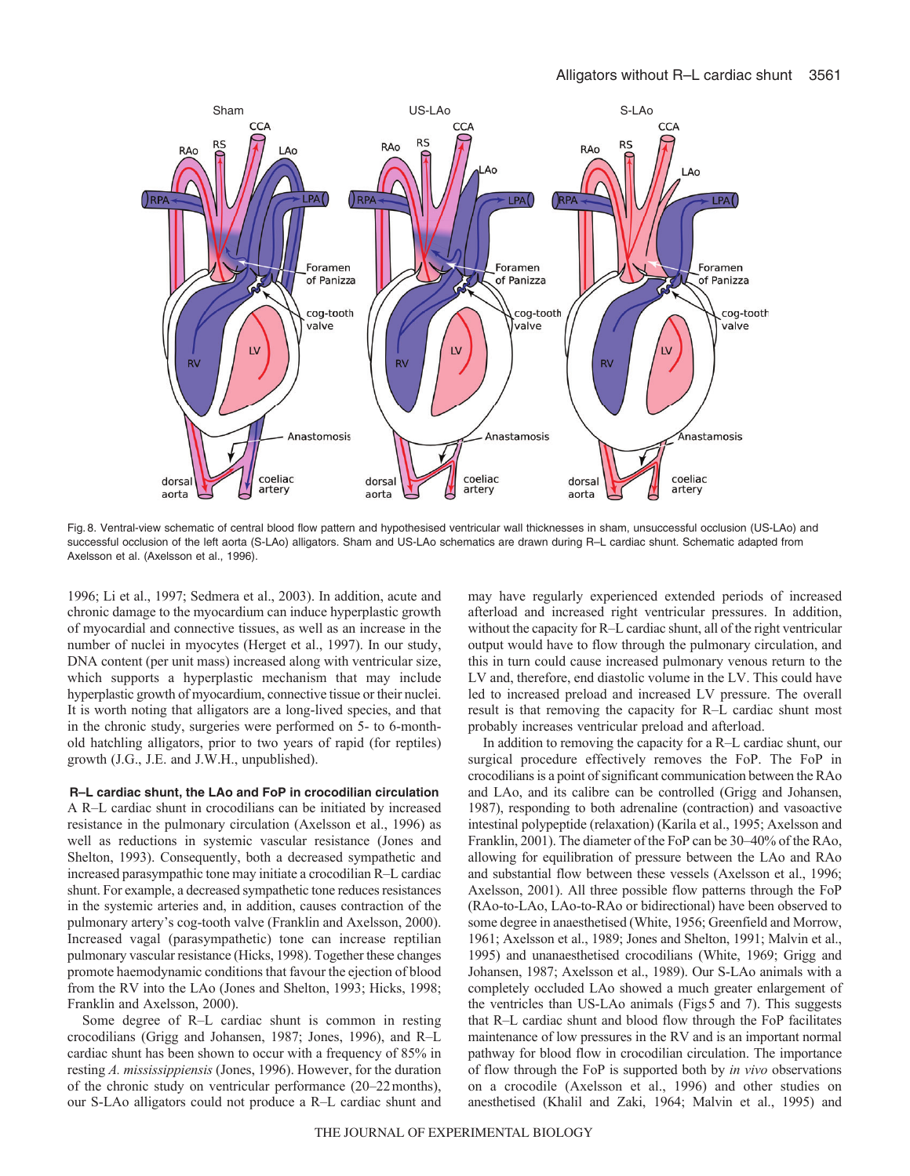

Fig. 8. Ventral-view schematic of central blood flow pattern and hypothesised ventricular wall thicknesses in sham, unsuccessful occlusion (US-LAo) and successful occlusion of the left aorta (S-LAo) alligators. Sham and US-LAo schematics are drawn during R–L cardiac shunt. Schematic adapted from Axelsson et al. (Axelsson et al., 1996).

1996; Li et al., 1997; Sedmera et al., 2003). In addition, acute and chronic damage to the myocardium can induce hyperplastic growth of myocardial and connective tissues, as well as an increase in the number of nuclei in myocytes (Herget et al., 1997). In our study, DNA content (per unit mass) increased along with ventricular size, which supports a hyperplastic mechanism that may include hyperplastic growth of myocardium, connective tissue or their nuclei. It is worth noting that alligators are a long-lived species, and that in the chronic study, surgeries were performed on 5- to 6-monthold hatchling alligators, prior to two years of rapid (for reptiles) growth (J.G., J.E. and J.W.H., unpublished).

#### **R–L cardiac shunt, the LAo and FoP in crocodilian circulation**

A R–L cardiac shunt in crocodilians can be initiated by increased resistance in the pulmonary circulation (Axelsson et al., 1996) as well as reductions in systemic vascular resistance (Jones and Shelton, 1993). Consequently, both a decreased sympathetic and increased parasympathic tone may initiate a crocodilian R–L cardiac shunt. For example, a decreased sympathetic tone reduces resistances in the systemic arteries and, in addition, causes contraction of the pulmonary artery's cog-tooth valve (Franklin and Axelsson, 2000). Increased vagal (parasympathetic) tone can increase reptilian pulmonary vascular resistance (Hicks, 1998). Together these changes promote haemodynamic conditions that favour the ejection of blood from the RV into the LAo (Jones and Shelton, 1993; Hicks, 1998; Franklin and Axelsson, 2000).

Some degree of R–L cardiac shunt is common in resting crocodilians (Grigg and Johansen, 1987; Jones, 1996), and R–L cardiac shunt has been shown to occur with a frequency of 85% in resting *A. mississippiensis* (Jones, 1996). However, for the duration of the chronic study on ventricular performance (20–22months), our S-LAo alligators could not produce a R–L cardiac shunt and

may have regularly experienced extended periods of increased afterload and increased right ventricular pressures. In addition, without the capacity for R–L cardiac shunt, all of the right ventricular output would have to flow through the pulmonary circulation, and this in turn could cause increased pulmonary venous return to the LV and, therefore, end diastolic volume in the LV. This could have led to increased preload and increased LV pressure. The overall result is that removing the capacity for R–L cardiac shunt most probably increases ventricular preload and afterload.

In addition to removing the capacity for a R–L cardiac shunt, our surgical procedure effectively removes the FoP. The FoP in crocodilians is a point of significant communication between the RAo and LAo, and its calibre can be controlled (Grigg and Johansen, 1987), responding to both adrenaline (contraction) and vasoactive intestinal polypeptide (relaxation) (Karila et al., 1995; Axelsson and Franklin, 2001). The diameter of the FoP can be 30–40% of the RAo, allowing for equilibration of pressure between the LAo and RAo and substantial flow between these vessels (Axelsson et al., 1996; Axelsson, 2001). All three possible flow patterns through the FoP (RAo-to-LAo, LAo-to-RAo or bidirectional) have been observed to some degree in anaesthetised (White, 1956; Greenfield and Morrow, 1961; Axelsson et al., 1989; Jones and Shelton, 1991; Malvin et al., 1995) and unanaesthetised crocodilians (White, 1969; Grigg and Johansen, 1987; Axelsson et al., 1989). Our S-LAo animals with a completely occluded LAo showed a much greater enlargement of the ventricles than US-LAo animals (Figs5 and 7). This suggests that R–L cardiac shunt and blood flow through the FoP facilitates maintenance of low pressures in the RV and is an important normal pathway for blood flow in crocodilian circulation. The importance of flow through the FoP is supported both by *in vivo* observations on a crocodile (Axelsson et al., 1996) and other studies on anesthetised (Khalil and Zaki, 1964; Malvin et al., 1995) and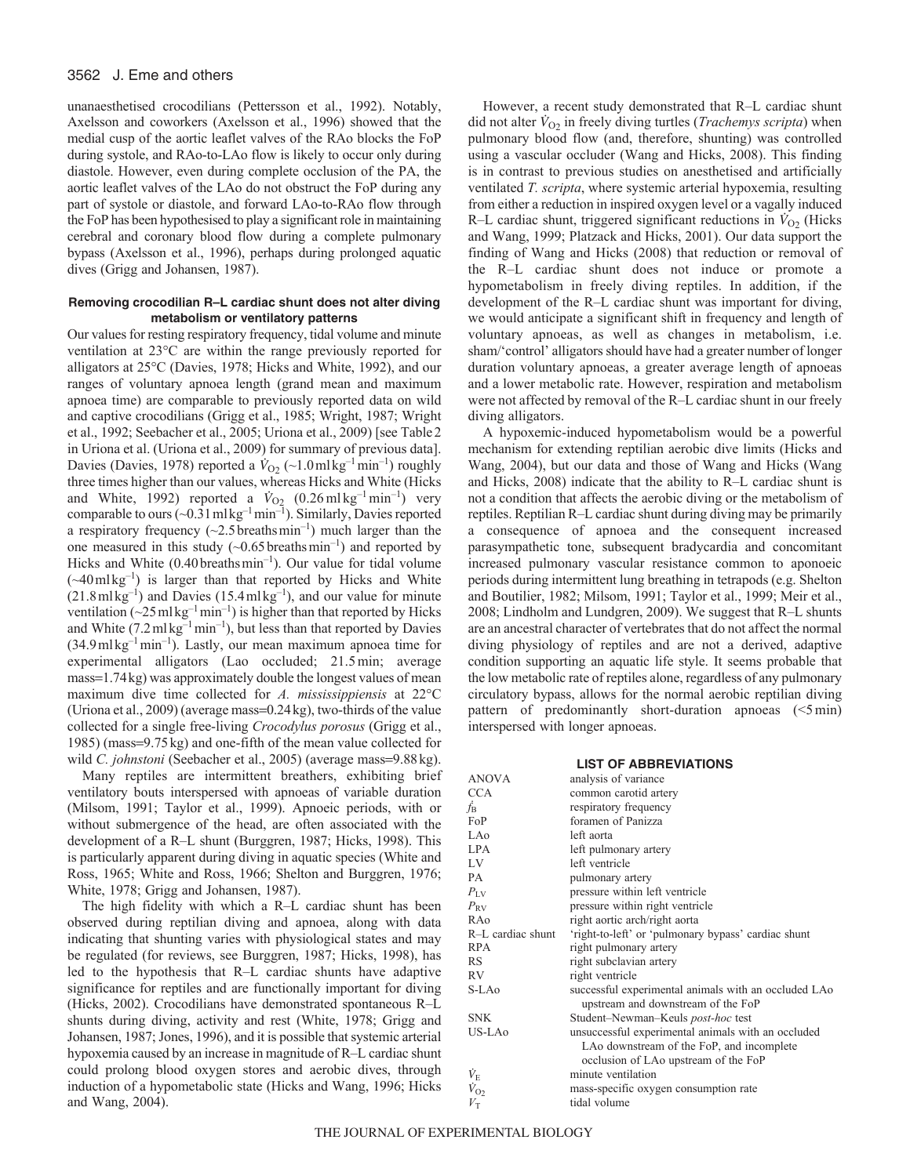# 3562 J. Eme and others

unanaesthetised crocodilians (Pettersson et al., 1992). Notably, Axelsson and coworkers (Axelsson et al., 1996) showed that the medial cusp of the aortic leaflet valves of the RAo blocks the FoP during systole, and RAo-to-LAo flow is likely to occur only during diastole. However, even during complete occlusion of the PA, the aortic leaflet valves of the LAo do not obstruct the FoP during any part of systole or diastole, and forward LAo-to-RAo flow through the FoP has been hypothesised to play a significant role in maintaining cerebral and coronary blood flow during a complete pulmonary bypass (Axelsson et al., 1996), perhaps during prolonged aquatic dives (Grigg and Johansen, 1987).

# **Removing crocodilian R–L cardiac shunt does not alter diving metabolism or ventilatory patterns**

Our values for resting respiratory frequency, tidal volume and minute ventilation at 23°C are within the range previously reported for alligators at 25°C (Davies, 1978; Hicks and White, 1992), and our ranges of voluntary apnoea length (grand mean and maximum apnoea time) are comparable to previously reported data on wild and captive crocodilians (Grigg et al., 1985; Wright, 1987; Wright et al., 1992; Seebacher et al., 2005; Uriona et al., 2009) [see Table2 in Uriona et al. (Uriona et al., 2009) for summary of previous data]. Davies (Davies, 1978) reported a  $\dot{V}_{O2}$  (~1.0ml kg<sup>-1</sup>min<sup>-1</sup>) roughly three times higher than our values, whereas Hicks and White (Hicks and White, 1992) reported a  $\dot{V}_{O_2}$  (0.26 ml kg<sup>-1</sup> min<sup>-1</sup>) very comparable to ours  $(-0.31 \text{ m} \text{kg}^{-1} \text{ min}^{-1})$ . Similarly, Davies reported a respiratory frequency  $(\sim 2.5 \text{ breaths min}^{-1})$  much larger than the one measured in this study  $(\sim 0.65 \text{ breaths min}^{-1})$  and reported by Hicks and White  $(0.40 \text{ breaths min}^{-1})$ . Our value for tidal volume  $(\sim 40 \text{ mJ kg}^{-1})$  is larger than that reported by Hicks and White  $(21.8 \text{ m} \text{kg}^{-1})$  and Davies  $(15.4 \text{ m} \text{kg}^{-1})$ , and our value for minute ventilation ( $\sim$ 25 ml kg<sup>-1</sup>min<sup>-1</sup>) is higher than that reported by Hicks and White  $(7.2 \text{ ml kg}^{-1} \text{min}^{-1})$ , but less than that reported by Davies  $(34.9 \text{ m} \cdot \text{kg}^{-1} \text{ min}^{-1})$ . Lastly, our mean maximum apnoea time for experimental alligators (Lao occluded; 21.5min; average mass=1.74kg) was approximately double the longest values of mean maximum dive time collected for *A. mississippiensis* at 22°C (Uriona et al., 2009) (average mass= $0.24$  kg), two-thirds of the value collected for a single free-living *Crocodylus porosus* (Grigg et al., 1985) (mass=9.75 kg) and one-fifth of the mean value collected for wild *C. johnstoni* (Seebacher et al., 2005) (average mass=9.88kg).

Many reptiles are intermittent breathers, exhibiting brief ventilatory bouts interspersed with apnoeas of variable duration (Milsom, 1991; Taylor et al., 1999). Apnoeic periods, with or without submergence of the head, are often associated with the development of a R–L shunt (Burggren, 1987; Hicks, 1998). This is particularly apparent during diving in aquatic species (White and Ross, 1965; White and Ross, 1966; Shelton and Burggren, 1976; White, 1978; Grigg and Johansen, 1987).

The high fidelity with which a R–L cardiac shunt has been observed during reptilian diving and apnoea, along with data indicating that shunting varies with physiological states and may be regulated (for reviews, see Burggren, 1987; Hicks, 1998), has led to the hypothesis that R–L cardiac shunts have adaptive significance for reptiles and are functionally important for diving (Hicks, 2002). Crocodilians have demonstrated spontaneous R–L shunts during diving, activity and rest (White, 1978; Grigg and Johansen, 1987; Jones, 1996), and it is possible that systemic arterial hypoxemia caused by an increase in magnitude of R–L cardiac shunt could prolong blood oxygen stores and aerobic dives, through induction of a hypometabolic state (Hicks and Wang, 1996; Hicks and Wang, 2004).

However, a recent study demonstrated that R–L cardiac shunt did not alter  $\dot{V}_{O2}$  in freely diving turtles (*Trachemys scripta*) when pulmonary blood flow (and, therefore, shunting) was controlled using a vascular occluder (Wang and Hicks, 2008). This finding is in contrast to previous studies on anesthetised and artificially ventilated *T. scripta*, where systemic arterial hypoxemia, resulting from either a reduction in inspired oxygen level or a vagally induced R–L cardiac shunt, triggered significant reductions in  $\dot{V}_{O2}$  (Hicks and Wang, 1999; Platzack and Hicks, 2001). Our data support the finding of Wang and Hicks (2008) that reduction or removal of the R–L cardiac shunt does not induce or promote a hypometabolism in freely diving reptiles. In addition, if the development of the R–L cardiac shunt was important for diving, we would anticipate a significant shift in frequency and length of voluntary apnoeas, as well as changes in metabolism, i.e. sham/'control' alligators should have had a greater number of longer duration voluntary apnoeas, a greater average length of apnoeas and a lower metabolic rate. However, respiration and metabolism were not affected by removal of the R–L cardiac shunt in our freely diving alligators.

A hypoxemic-induced hypometabolism would be a powerful mechanism for extending reptilian aerobic dive limits (Hicks and Wang, 2004), but our data and those of Wang and Hicks (Wang and Hicks, 2008) indicate that the ability to R–L cardiac shunt is not a condition that affects the aerobic diving or the metabolism of reptiles. Reptilian R–L cardiac shunt during diving may be primarily a consequence of apnoea and the consequent increased parasympathetic tone, subsequent bradycardia and concomitant increased pulmonary vascular resistance common to aponoeic periods during intermittent lung breathing in tetrapods (e.g. Shelton and Boutilier, 1982; Milsom, 1991; Taylor et al., 1999; Meir et al., 2008; Lindholm and Lundgren, 2009). We suggest that R–L shunts are an ancestral character of vertebrates that do not affect the normal diving physiology of reptiles and are not a derived, adaptive condition supporting an aquatic life style. It seems probable that the low metabolic rate of reptiles alone, regardless of any pulmonary circulatory bypass, allows for the normal aerobic reptilian diving pattern of predominantly short-duration apnoeas (<5min) interspersed with longer apnoeas.

#### **LIST OF ABBREVIATIONS**

| <b>ANOVA</b>          | analysis of variance                                                                            |
|-----------------------|-------------------------------------------------------------------------------------------------|
| <b>CCA</b>            | common carotid artery                                                                           |
| Ѓв                    | respiratory frequency                                                                           |
| FoP                   | foramen of Panizza                                                                              |
| LAo                   | left aorta                                                                                      |
| <b>LPA</b>            | left pulmonary artery                                                                           |
| LV                    | left ventricle                                                                                  |
| PA                    | pulmonary artery                                                                                |
| $P_{\rm LV}$          | pressure within left ventricle                                                                  |
| $P_{\rm RV}$          | pressure within right ventricle                                                                 |
| RAO                   | right aortic arch/right aorta                                                                   |
| R-L cardiac shunt     | 'right-to-left' or 'pulmonary bypass' cardiac shunt                                             |
| <b>RPA</b>            | right pulmonary artery                                                                          |
| <b>RS</b>             | right subclavian artery                                                                         |
| RV                    | right ventricle                                                                                 |
| S-LA <sub>0</sub>     | successful experimental animals with an occluded LAo<br>upstream and downstream of the FoP      |
| <b>SNK</b>            | Student-Newman-Keuls post-hoc test                                                              |
| US-LA0                | unsuccessful experimental animals with an occluded<br>LAo downstream of the FoP, and incomplete |
|                       | occlusion of LAo upstream of the FoP                                                            |
| $\dot{V}_{\rm E}$     | minute ventilation                                                                              |
| $\dot{V}_{\text{O}2}$ | mass-specific oxygen consumption rate                                                           |
| $V_{\rm T}$           | tidal volume                                                                                    |